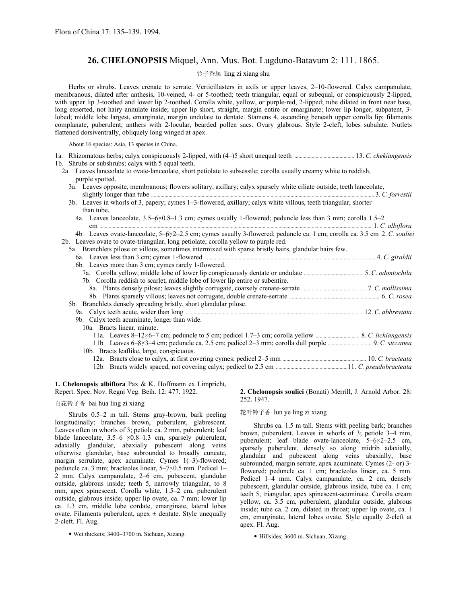# **26. CHELONOPSIS** Miquel, Ann. Mus. Bot. Lugduno-Batavum 2: 111. 1865.

# 铃子香属 ling zi xiang shu

Herbs or shrubs. Leaves crenate to serrate. Verticillasters in axils or upper leaves, 2–10-flowered. Calyx campanulate, membranous, dilated after anthesis, 10-veined, 4- or 5-toothed; teeth triangular, equal or subequal, or conspicuously 2-lipped, with upper lip 3-toothed and lower lip 2-toothed. Corolla white, yellow, or purple-red, 2-lipped; tube dilated in front near base, long exserted, not hairy annulate inside; upper lip short, straight, margin entire or emarginate; lower lip longer, subpatent, 3 lobed; middle lobe largest, emarginate, margin undulate to dentate. Stamens 4, ascending beneath upper corolla lip; filaments complanate, puberulent; anthers with 2-locular, bearded pollen sacs. Ovary glabrous. Style 2-cleft, lobes subulate. Nutlets flattened dorsiventrally, obliquely long winged at apex.

About 16 species: Asia, 13 species in China.

| 1b. Shrubs or subshrubs; calyx with 5 equal teeth. |  |
|----------------------------------------------------|--|

2a. Leaves lanceolate to ovate-lanceolate, short petiolate to subsessile; corolla usually creamy white to reddish, purple spotted.

- 3a. Leaves opposite, membranous; flowers solitary, axillary; calyx sparsely white ciliate outside, teeth lanceolate, slightly longer than tube ........................................................................................................................................................................ 3. *C. forrestii*
- 3b. Leaves in whorls of 3, papery; cymes 1–3-flowered, axillary; calyx white villous, teeth triangular, shorter than tube.
	- 4a. Leaves lanceolate, 3.5–6×0.8–1.3 cm; cymes usually 1-flowered; peduncle less than 3 mm; corolla 1.5–2 cm ............................................................................................................................................................................................................. 1. *C. albiflora*

4b. Leaves ovate-lanceolate, 5–6×2–2.5 cm; cymes usually 3-flowered; peduncle ca. 1 cm; corolla ca. 3.5 cm 2. *C. souliei* 2b. Leaves ovate to ovate-triangular, long petiolate; corolla yellow to purple red.

| 5a. Branchlets pilose or villous, sometimes intermixed with sparse bristly hairs, glandular hairs few.                                                                                                                              |  |
|-------------------------------------------------------------------------------------------------------------------------------------------------------------------------------------------------------------------------------------|--|
|                                                                                                                                                                                                                                     |  |
| 6b. Leaves more than 3 cm; cymes rarely 1-flowered.                                                                                                                                                                                 |  |
|                                                                                                                                                                                                                                     |  |
| 7b. Corolla reddish to scarlet, middle lobe of lower lip entire or subentire.                                                                                                                                                       |  |
|                                                                                                                                                                                                                                     |  |
|                                                                                                                                                                                                                                     |  |
| 5b. Branchlets densely spreading bristly, short glandular pilose.                                                                                                                                                                   |  |
| 9a. Calyx teeth acute, wider than long <i>manufacture according to the series</i> and the series of the series of the series of the series of the series of the series of the series of the series of the series of the series of t |  |
| 9b. Calyx teeth acuminate, longer than wide.                                                                                                                                                                                        |  |
| 10a. Bracts linear, minute.                                                                                                                                                                                                         |  |
|                                                                                                                                                                                                                                     |  |
|                                                                                                                                                                                                                                     |  |
| 10b. Bracts leaflike, large, conspicuous.                                                                                                                                                                                           |  |
|                                                                                                                                                                                                                                     |  |
|                                                                                                                                                                                                                                     |  |

**1. Chelonopsis albiflora** Pax & K. Hoffmann ex Limpricht, Repert. Spec. Nov. Regni Veg. Beih. 12: 477. 1922.

### 白花铃子香 bai hua ling zi xiang

Shrubs 0.5–2 m tall. Stems gray-brown, bark peeling longitudinally; branches brown, puberulent, glabrescent. Leaves often in whorls of 3; petiole ca. 2 mm, puberulent; leaf blade lanceolate, 3.5–6 ×0.8–1.3 cm, sparsely puberulent, adaxially glandular, abaxially pubescent along veins otherwise glandular, base subrounded to broadly cuneate, margin serrulate, apex acuminate. Cymes 1(-3)-flowered; peduncle ca. 3 mm; bracteoles linear, 5–7×0.5 mm. Pedicel 1– 2 mm. Calyx campanulate, 2–6 cm, pubescent, glandular outside, glabrous inside; teeth 5, narrowly triangular, to 8 mm, apex spinescent. Corolla white, 1.5–2 cm, puberulent outside, glabrous inside; upper lip ovate, ca. 7 mm; lower lip ca. 1.3 cm, middle lobe cordate, emarginate, lateral lobes ovate. Filaments puberulent, apex  $\pm$  dentate. Style unequally 2-cleft. Fl. Aug.

• Wet thickets; 3400–3700 m. Sichuan, Xizang.

**2. Chelonopsis souliei** (Bonati) Merrill, J. Arnold Arbor. 28: 252. 1947.

#### 轮叶铃子香 lun ye ling zi xiang

Shrubs ca. 1.5 m tall. Stems with peeling bark; branches brown, puberulent. Leaves in whorls of 3; petiole 3–4 mm, puberulent; leaf blade ovate-lanceolate, 5–6×2–2.5 cm, sparsely puberulent, densely so along midrib adaxially, glandular and pubescent along veins abaxially, base subrounded, margin serrate, apex acuminate. Cymes (2- or) 3 flowered; peduncle ca. 1 cm; bracteoles linear, ca. 5 mm. Pedicel 1–4 mm. Calyx campanulate, ca. 2 cm, densely pubescent, glandular outside, glabrous inside, tube ca. 1 cm; teeth 5, triangular, apex spinescent-acuminate. Corolla cream yellow, ca. 3.5 cm, puberulent, glandular outside, glabrous inside; tube ca. 2 cm, dilated in throat; upper lip ovate, ca. 1 cm, emarginate, lateral lobes ovate. Style equally 2-cleft at apex. Fl. Aug.

• Hillsides; 3600 m. Sichuan, Xizang.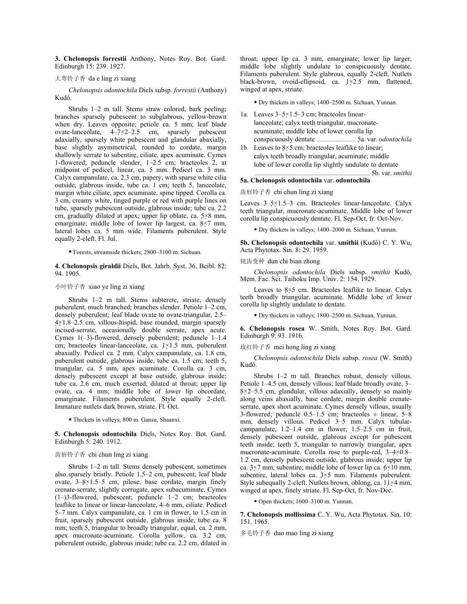**3. Chelonopsis forrestii** Anthony, Notes Roy. Bot. Gard. Edinburgh 15: 239. 1927.

#### 大萼铃子香 da e ling zi xiang

*Chelonopsis odontochila* Diels subsp. *forrestii* (Anthony) Kudô.

Shrubs 1–2 m tall. Stems straw colored, bark peeling; branches sparsely pubescent to subglabrous, yellow-brown when dry. Leaves opposite; petiole ca. 5 mm; leaf blade ovate-lanceolate,  $4-\overline{7} \times 2-2.5$  cm, sparsely pubescent adaxially, sparsely white pubescent and glandular abaxially, base slightly asymmetrical, rounded to cordate, margin shallowly serrate to subentire, ciliate, apex acuminate. Cymes 1-flowered; peduncle slender, 1–2.5 cm; bracteoles 2, at midpoint of pedicel, linear, ca. 5 mm. Pedicel ca. 3 mm. Calyx campanulate, ca. 2.3 cm, papery, with sparse white cilia outside, glabrous inside, tube ca. 1 cm; teeth 5, lanceolate, margin white ciliate, apex acuminate, spine tipped. Corolla ca. 3 cm, creamy white, tinged purple or red with purple lines on tube, sparsely pubescent outside, glabrous inside; tube ca. 2.2 cm, gradually dilated at apex; upper lip oblate, ca. 5×8 mm, emarginate; middle lobe of lower lip largest, ca. 8×7 mm, lateral lobes ca. 5 mm wide. Filaments puberulent. Style equally 2-cleft. Fl. Jul.

• Forests, streamside thickets; 2800–3100 m. Sichuan.

**4. Chelonopsis giraldii** Diels, Bot. Jahrb. Syst. 36, Beibl. 82: 94. 1905.

### 小叶铃子香 xiao ye ling zi xiang

Shrubs 1–2 m tall. Stems subterete, striate, densely puberulent, much branched; branches slender. Petiole 1–2 cm, densely puberulent; leaf blade ovate to ovate-triangular, 2.5– 4×1.8–2.5 cm, villous-hispid, base rounded, margin sparsely incised-serrate, occasionally double serrate, apex acute. Cymes 1(–3)-flowered, densely puberulent; peduncle 1–1.4 cm; bracteoles linear-lanceolate, ca. 1×1.5 mm, puberulent abaxially. Pedicel ca. 2 mm. Calyx campanulate, ca. 1.8 cm, puberulent outside, glabrous inside, tube ca. 1.5 cm; teeth 5, triangular, ca. 5 mm, apex acuminate. Corolla ca. 3 cm, densely pubescent except at base outside, glabrous inside; tube ca. 2.6 cm, much exserted, dilated at throat; upper lip ovate, ca. 4 mm; middle lobe of lower lip obcordate, emarginate. Filaments puberulent. Style equally 2-cleft. Immature nutlets dark brown, striate. Fl. Oct.

• Thickets in valleys; 800 m. Gansu, Shaanxi.

**5. Chelonopsis odontochila** Diels, Notes Roy. Bot. Gard. Edinburgh 5: 240. 1912.

#### 齿唇铃子香 chi chun ling zi xiang

Shrubs 1–2 m tall. Stems densely pubescent, sometimes also sparsely bristly. Petiole 1.5–2 cm, pubescent; leaf blade ovate, 3–8×1.5–5 cm, pilose, base cordate, margin finely crenate-serrate, slightly corrugate, apex subacuminate. Cymes (1–)3-flowered, pubescent; peduncle 1–2 cm; bracteoles leaflike to linear or linear-lanceolate, 4–6 mm, ciliate. Pedicel 5–7 mm. Calyx campanulate, ca. 1 cm in flower, to 1.5 cm in fruit, sparsely pubescent outside, glabrous inside, tube ca. 8 mm; teeth 5, triangular to broadly triangular, equal, ca. 2 mm, apex mucronate-acuminate. Corolla yellow, ca. 3.2 cm, puberulent outside, glabrous inside; tube ca. 2.2 cm, dilated in throat; upper lip ca. 3 mm, emarginate; lower lip larger, middle lobe slightly undulate to conspicuously dentate. Filaments puberulent. Style glabrous, equally 2-cleft. Nutlets black-brown, ovoid-ellipsoid, ca. 1×2.5 mm, flattened, winged at apex, striate.

• Dry thickets in valleys; 1400–2500 m. Sichuan, Yunnan.

- 1a. Leaves 3–5×1.5–3 cm; bracteoles linear lanceolate; calyx teeth triangular, mucronate acuminate; middle lobe of lower corolla lip conspicuously dentate ............................. 5a. var. *odontochila*
- 1b. Leaves to 8×5 cm; bracteoles leaflike to linear; calyx teeth broadly triangular, acuminate; middle lobe of lower corolla lip slightly undulate to dentate 5b. var. *smithii*

#### **5a. Chelonopsis odontochila** var. **odontochila**

齿唇铃子香 chi chun ling zi xiang

Leaves 3–5×1.5–3 cm. Bracteoles linear-lanceolate. Calyx teeth triangular, mucronate-acuminate. Middle lobe of lower corolla lip conspicuously dentate. Fl. Sep-Oct, fr. Oct-Nov.

• Dry thickets in valleys; 1400–2000 m. Sichuan, Yunnan.

**5b. Chelonopsis odontochila** var. **smithii** (Kudô) C. Y. Wu, Acta Phytotax. Sin. 8: 29. 1959.

钝齿变种 dun chi bian zhong

*Chelonopsis odontochila* Diels subsp. *smithii* Kudô, Mem. Fac. Sci. Taihoku Imp. Univ. 2: 154. 1929.

Leaves to  $8 \times 5$  cm. Bracteoles leaflike to linear. Calyx teeth broadly triangular, acuminate. Middle lobe of lower corolla lip slightly undulate to dentate.

• Dry thickets in valleys; 1800–2500 m. Sichuan, Yunnan.

**6. Chelonopsis rosea** W. Smith, Notes Roy. Bot. Gard. Edinburgh 9: 93. 1916.

### 玫红铃子香 mei hong ling zi xiang

*Chelonopsis odontochila* Diels subsp. *rosea* (W. Smith) Kudô.

Shrubs 1–2 m tall. Branches robust, densely villous. Petiole 1–4.5 cm, densely villous; leaf blade broadly ovate, 3–  $8\times2-5.5$  cm, glandular, villous adaxially, densely so mainly along veins abaxially, base cordate, margin double crenateserrate, apex short acuminate. Cymes densely villous, usually 3-flowered; peduncle  $0.5-1.5$  cm; bracteoles  $\pm$  linear, 5-8 mm, densely villous. Pedicel 3–5 mm. Calyx tubularcampanulate, 1.2–1.4 cm in flower, 1.5–2.5 cm in fruit, densely pubescent outside, glabrous except for pubescent teeth inside; teeth 5, triangular to narrowly triangular, apex mucronate-acuminate. Corolla rose to purple-red, 3–4×0.8– 1.2 cm, densely pubescent outside, glabrous inside; upper lip ca.  $3\times7$  mm, subentire; middle lobe of lower lip ca.  $6\times10$  mm, subentire, lateral lobes ca. 3×5 mm. Filaments puberulent. Style subequally 2-cleft. Nutlets brown, oblong, ca. 11×4 mm, winged at apex, finely striate. Fl. Sep-Oct, fr. Nov-Dec.

• Open thickets; 1600–3100 m. Yunnan.

**7. Chelonopsis mollissima** C. Y. Wu, Acta Phytotax. Sin. 10: 151. 1965.

多毛铃子香 duo mao ling zi xiang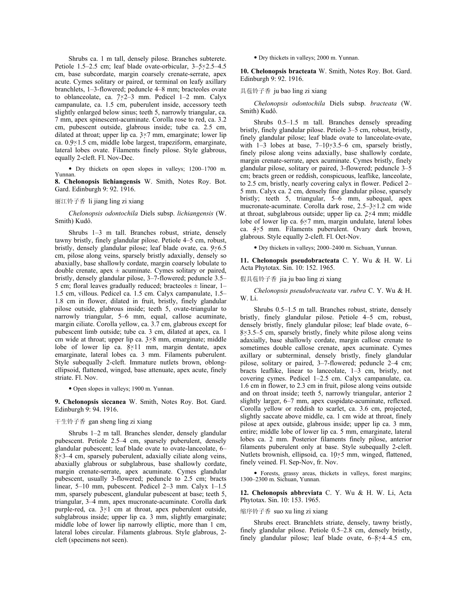Shrubs ca. 1 m tall, densely pilose. Branches subterete. Petiole 1.5–2.5 cm; leaf blade ovate-orbicular, 3–5×2.5–4.5 cm, base subcordate, margin coarsely crenate-serrate, apex acute. Cymes solitary or paired, or terminal on leafy axillary branchlets, 1–3-flowered; peduncle 4–8 mm; bracteoles ovate to oblanceolate, ca. 7×2–3 mm. Pedicel 1–2 mm. Calyx campanulate, ca. 1.5 cm, puberulent inside, accessory teeth slightly enlarged below sinus; teeth 5, narrowly triangular, ca. 7 mm, apex spinescent-acuminate. Corolla rose to red, ca. 3.2 cm, pubescent outside, glabrous inside; tube ca. 2.5 cm, dilated at throat; upper lip ca. 3×7 mm, emarginate; lower lip ca. 0.9×1.5 cm, middle lobe largest, trapeziform, emarginate, lateral lobes ovate. Filaments finely pilose. Style glabrous, equally 2-cleft. Fl. Nov-Dec.

• Dry thickets on open slopes in valleys; 1200–1700 m. Yunnan.

**8. Chelonopsis lichiangensis** W. Smith, Notes Roy. Bot. Gard. Edinburgh 9: 92. 1916.

# 丽江铃子香 li jiang ling zi xiang

*Chelonopsis odontochila* Diels subsp. *lichiangensis* (W. Smith) Kudô.

Shrubs 1–3 m tall. Branches robust, striate, densely tawny bristly, finely glandular pilose. Petiole 4–5 cm, robust, bristly, densely glandular pilose; leaf blade ovate, ca. 9×6.5 cm, pilose along veins, sparsely bristly adaxially, densely so abaxially, base shallowly cordate, margin coarsely lobulate to double crenate, apex  $\pm$  acuminate. Cymes solitary or paired, bristly, densely glandular pilose, 3–7-flowered; peduncle 3.5– 5 cm; floral leaves gradually reduced; bracteoles  $\pm$  linear, 1– 1.5 cm, villous. Pedicel ca. 1.5 cm. Calyx campanulate, 1.5– 1.8 cm in flower, dilated in fruit, bristly, finely glandular pilose outside, glabrous inside; teeth 5, ovate-triangular to narrowly triangular, 5–6 mm, equal, callose acuminate, margin ciliate. Corolla yellow, ca. 3.7 cm, glabrous except for pubescent limb outside; tube ca. 3 cm, dilated at apex, ca. 1 cm wide at throat; upper lip ca. 3×8 mm, emarginate; middle lobe of lower lip ca.  $8 \times 11$  mm, margin dentate, apex emarginate, lateral lobes ca. 3 mm. Filaments puberulent. Style subequally 2-cleft. Immature nutlets brown, oblongellipsoid, flattened, winged, base attenuate, apex acute, finely striate. Fl. Nov.

• Open slopes in valleys; 1900 m. Yunnan.

**9. Chelonopsis siccanea** W. Smith, Notes Roy. Bot. Gard. Edinburgh 9: 94. 1916.

### 干生铃子香 gan sheng ling zi xiang

Shrubs 1–2 m tall. Branches slender, densely glandular pubescent. Petiole 2.5–4 cm, sparsely puberulent, densely glandular pubescent; leaf blade ovate to ovate-lanceolate, 6–  $8\times3-4$  cm, sparsely puberulent, adaxially ciliate along veins, abaxially glabrous or subglabrous, base shallowly cordate, margin crenate-serrate, apex acuminate. Cymes glandular pubescent, usually 3-flowered; peduncle to 2.5 cm; bracts linear, 5–10 mm, pubescent. Pedicel 2–3 mm. Calyx 1–1.5 mm, sparsely pubescent, glandular pubescent at base; teeth 5, triangular, 3–4 mm, apex mucronate-acuminate. Corolla dark purple-red, ca.  $3\times1$  cm at throat, apex puberulent outside, subglabrous inside; upper lip ca. 3 mm, slightly emarginate; middle lobe of lower lip narrowly elliptic, more than 1 cm, lateral lobes circular. Filaments glabrous. Style glabrous, 2 cleft (specimens not seen).

• Dry thickets in valleys; 2000 m. Yunnan.

**10. Chelonopsis bracteata** W. Smith, Notes Roy. Bot. Gard. Edinburgh 9: 92. 1916.

### 具苞铃子香 ju bao ling zi xiang

*Chelonopsis odontochila* Diels subsp. *bracteata* (W. Smith) Kudô.

Shrubs 0.5–1.5 m tall. Branches densely spreading bristly, finely glandular pilose. Petiole 3–5 cm, robust, bristly, finely glandular pilose; leaf blade ovate to lanceolate-ovate, with 1–3 lobes at base, 7–10×3.5–6 cm, sparsely bristly, finely pilose along veins adaxially, base shallowly cordate, margin crenate-serrate, apex acuminate. Cymes bristly, finely glandular pilose, solitary or paired, 3-flowered; peduncle 3–5 cm; bracts green or reddish, conspicuous, leaflike, lanceolate, to 2.5 cm, bristly, nearly covering calyx in flower. Pedicel 2– 5 mm. Calyx ca. 2 cm, densely fine glandular pilose, sparsely bristly; teeth 5, triangular, 5–6 mm, subequal, apex mucronate-acuminate. Corolla dark rose, 2.5–3×1.2 cm wide at throat, subglabrous outside; upper lip ca. 2×4 mm; middle lobe of lower lip ca. 6×7 mm, margin undulate, lateral lobes ca. 4×5 mm. Filaments puberulent. Ovary dark brown, glabrous. Style equally 2-cleft. Fl. Oct-Nov.

• Dry thickets in valleys; 2000–2400 m. Sichuan, Yunnan.

**11. Chelonopsis pseudobracteata** C. Y. Wu & H. W. Li Acta Phytotax. Sin. 10: 152. 1965.

假具苞铃子香 jia ju bao ling zi xiang

*Chelonopsis pseudobracteata* var. *rubra* C. Y. Wu & H. W. Li.

Shrubs 0.5–1.5 m tall. Branches robust, striate, densely bristly, finely glandular pilose. Petiole 4–5 cm, robust, densely bristly, finely glandular pilose; leaf blade ovate, 6–  $8\times3.5-5$  cm, sparsely bristly, finely white pilose along veins adaxially, base shallowly cordate, margin callose crenate to sometimes double callose crenate, apex acuminate. Cymes axillary or subterminal, densely bristly, finely glandular pilose, solitary or paired, 3–7-flowered; peduncle 2–4 cm; bracts leaflike, linear to lanceolate, 1–3 cm, bristly, not covering cymes. Pedicel 1–2.5 cm. Calyx campanulate, ca. 1.6 cm in flower, to 2.3 cm in fruit, pilose along veins outside and on throat inside; teeth 5, narrowly triangular, anterior 2 slightly larger, 6–7 mm, apex cuspidate-acuminate, reflexed. Corolla yellow or reddish to scarlet, ca. 3.6 cm, projected, slightly saccate above middle, ca. 1 cm wide at throat, finely pilose at apex outside, glabrous inside; upper lip ca. 3 mm, entire; middle lobe of lower lip ca. 5 mm, emarginate, lateral lobes ca. 2 mm. Posterior filaments finely pilose, anterior filaments puberulent only at base. Style subequally 2-cleft. Nutlets brownish, ellipsoid, ca. 10×5 mm, winged, flattened, finely veined. Fl. Sep-Nov, fr. Nov.

• Forests, grassy areas, thickets in valleys, forest margins; 1300–2300 m. Sichuan, Yunnan.

**12. Chelonopsis abbreviata** C. Y. Wu & H. W. Li, Acta Phytotax. Sin. 10: 153. 1965.

#### 缩序铃子香 suo xu ling zi xiang

Shrubs erect. Branchlets striate, densely, tawny bristly, finely glandular pilose. Petiole 0.5–2.8 cm, densely bristly, finely glandular pilose; leaf blade ovate, 6–8×4–4.5 cm,